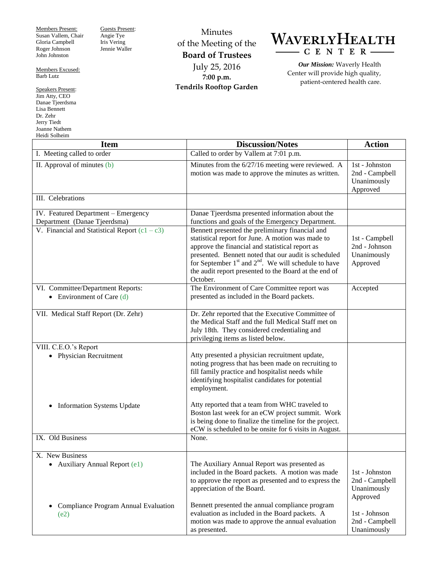Members Present: Susan Vallem, Chair Gloria Campbell Roger Johnson John Johnston

Members Excused: Barb Lutz

Speakers Present: Jim Atty, CEO Danae Tjeerdsma Lisa Bennett Dr. Zehr Jerry Tiedt Joanne Nathem Heidi Solheim

Guests Present: Angie Tye Iris Vering Jennie Waller

Minutes of the Meeting of the **Board of Trustees** July 25, 2016 **7:00 p.m. Tendrils Rooftop Garden**

## WAVERLYHEALTH  $-C E N T E R$

*Our Mission:* Waverly Health Center will provide high quality, patient-centered health care.

| <b>Item</b>                                                         | <b>Discussion/Notes</b>                                                                                                                                                                                                                                                                                                                          | <b>Action</b>                                               |
|---------------------------------------------------------------------|--------------------------------------------------------------------------------------------------------------------------------------------------------------------------------------------------------------------------------------------------------------------------------------------------------------------------------------------------|-------------------------------------------------------------|
| I. Meeting called to order                                          | Called to order by Vallem at 7:01 p.m.                                                                                                                                                                                                                                                                                                           |                                                             |
| II. Approval of minutes (b)                                         | Minutes from the 6/27/16 meeting were reviewed. A<br>motion was made to approve the minutes as written.                                                                                                                                                                                                                                          | 1st - Johnston<br>2nd - Campbell<br>Unanimously<br>Approved |
| III. Celebrations                                                   |                                                                                                                                                                                                                                                                                                                                                  |                                                             |
| IV. Featured Department - Emergency<br>Department (Danae Tjeerdsma) | Danae Tjeerdsma presented information about the<br>functions and goals of the Emergency Department.                                                                                                                                                                                                                                              |                                                             |
| V. Financial and Statistical Report $(c1 - c3)$                     | Bennett presented the preliminary financial and<br>statistical report for June. A motion was made to<br>approve the financial and statistical report as<br>presented. Bennett noted that our audit is scheduled<br>for September $1st$ and $2nd$ . We will schedule to have<br>the audit report presented to the Board at the end of<br>October. | 1st - Campbell<br>2nd - Johnson<br>Unanimously<br>Approved  |
| VI. Committee/Department Reports:<br>• Environment of Care $(d)$    | The Environment of Care Committee report was<br>presented as included in the Board packets.                                                                                                                                                                                                                                                      | Accepted                                                    |
| VII. Medical Staff Report (Dr. Zehr)                                | Dr. Zehr reported that the Executive Committee of<br>the Medical Staff and the full Medical Staff met on<br>July 18th. They considered credentialing and<br>privileging items as listed below.                                                                                                                                                   |                                                             |
| VIII. C.E.O.'s Report<br>• Physician Recruitment                    | Atty presented a physician recruitment update,<br>noting progress that has been made on recruiting to<br>fill family practice and hospitalist needs while<br>identifying hospitalist candidates for potential<br>employment.                                                                                                                     |                                                             |
| <b>Information Systems Update</b><br>$\bullet$                      | Atty reported that a team from WHC traveled to<br>Boston last week for an eCW project summit. Work<br>is being done to finalize the timeline for the project.<br>eCW is scheduled to be onsite for 6 visits in August.                                                                                                                           |                                                             |
| IX. Old Business                                                    | None.                                                                                                                                                                                                                                                                                                                                            |                                                             |
| X. New Business<br><b>Auxiliary Annual Report (e1)</b><br>٠         | The Auxiliary Annual Report was presented as<br>included in the Board packets. A motion was made<br>to approve the report as presented and to express the<br>appreciation of the Board.                                                                                                                                                          | 1st - Johnston<br>2nd - Campbell<br>Unanimously<br>Approved |
| Compliance Program Annual Evaluation<br>(e2)                        | Bennett presented the annual compliance program<br>evaluation as included in the Board packets. A<br>motion was made to approve the annual evaluation<br>as presented.                                                                                                                                                                           | 1st - Johnson<br>2nd - Campbell<br>Unanimously              |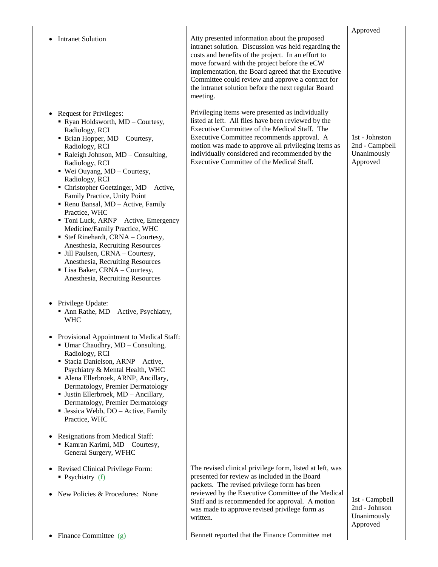| <b>Intranet Solution</b>                                                                                                                                                                                                                                                                                                                                                                                                                                                                                                                                                                                                                                                                           | Atty presented information about the proposed<br>intranet solution. Discussion was held regarding the<br>costs and benefits of the project. In an effort to<br>move forward with the project before the eCW<br>implementation, the Board agreed that the Executive<br>Committee could review and approve a contract for<br>the intranet solution before the next regular Board<br>meeting. | Approved                                                    |
|----------------------------------------------------------------------------------------------------------------------------------------------------------------------------------------------------------------------------------------------------------------------------------------------------------------------------------------------------------------------------------------------------------------------------------------------------------------------------------------------------------------------------------------------------------------------------------------------------------------------------------------------------------------------------------------------------|--------------------------------------------------------------------------------------------------------------------------------------------------------------------------------------------------------------------------------------------------------------------------------------------------------------------------------------------------------------------------------------------|-------------------------------------------------------------|
| <b>Request for Privileges:</b><br>$\bullet$<br>• Ryan Holdsworth, MD - Courtesy,<br>Radiology, RCI<br>• Brian Hopper, MD - Courtesy,<br>Radiology, RCI<br>• Raleigh Johnson, MD - Consulting,<br>Radiology, RCI<br>■ Wei Ouyang, MD - Courtesy,<br>Radiology, RCI<br>• Christopher Goetzinger, MD - Active,<br>Family Practice, Unity Point<br>Renu Bansal, MD - Active, Family<br>Practice, WHC<br>• Toni Luck, ARNP – Active, Emergency<br>Medicine/Family Practice, WHC<br>• Stef Rinehardt, CRNA - Courtesy,<br>Anesthesia, Recruiting Resources<br>• Jill Paulsen, CRNA - Courtesy,<br>Anesthesia, Recruiting Resources<br>• Lisa Baker, CRNA - Courtesy,<br>Anesthesia, Recruiting Resources | Privileging items were presented as individually<br>listed at left. All files have been reviewed by the<br>Executive Committee of the Medical Staff. The<br>Executive Committee recommends approval. A<br>motion was made to approve all privileging items as<br>individually considered and recommended by the<br>Executive Committee of the Medical Staff.                               | 1st - Johnston<br>2nd - Campbell<br>Unanimously<br>Approved |
| • Privilege Update:<br>$\blacksquare$ Ann Rathe, MD – Active, Psychiatry,<br><b>WHC</b>                                                                                                                                                                                                                                                                                                                                                                                                                                                                                                                                                                                                            |                                                                                                                                                                                                                                                                                                                                                                                            |                                                             |
| • Provisional Appointment to Medical Staff:<br>$\blacksquare$ Umar Chaudhry, MD – Consulting,<br>Radiology, RCI<br>• Stacia Danielson, ARNP - Active,<br>Psychiatry & Mental Health, WHC<br>• Alena Ellerbroek, ARNP, Ancillary,<br>Dermatology, Premier Dermatology<br>· Justin Ellerbroek, MD - Ancillary,<br>Dermatology, Premier Dermatology<br>• Jessica Webb, DO – Active, Family<br>Practice, WHC                                                                                                                                                                                                                                                                                           |                                                                                                                                                                                                                                                                                                                                                                                            |                                                             |
| • Resignations from Medical Staff:<br>Kamran Karimi, MD - Courtesy,<br>General Surgery, WFHC                                                                                                                                                                                                                                                                                                                                                                                                                                                                                                                                                                                                       |                                                                                                                                                                                                                                                                                                                                                                                            |                                                             |
| Revised Clinical Privilege Form:<br>٠<br>$\blacksquare$ Psychiatry (f)<br>New Policies & Procedures: None                                                                                                                                                                                                                                                                                                                                                                                                                                                                                                                                                                                          | The revised clinical privilege form, listed at left, was<br>presented for review as included in the Board<br>packets. The revised privilege form has been<br>reviewed by the Executive Committee of the Medical<br>Staff and is recommended for approval. A motion<br>was made to approve revised privilege form as<br>written.                                                            | 1st - Campbell<br>2nd - Johnson<br>Unanimously<br>Approved  |
| • Finance Committee $(g)$                                                                                                                                                                                                                                                                                                                                                                                                                                                                                                                                                                                                                                                                          | Bennett reported that the Finance Committee met                                                                                                                                                                                                                                                                                                                                            |                                                             |